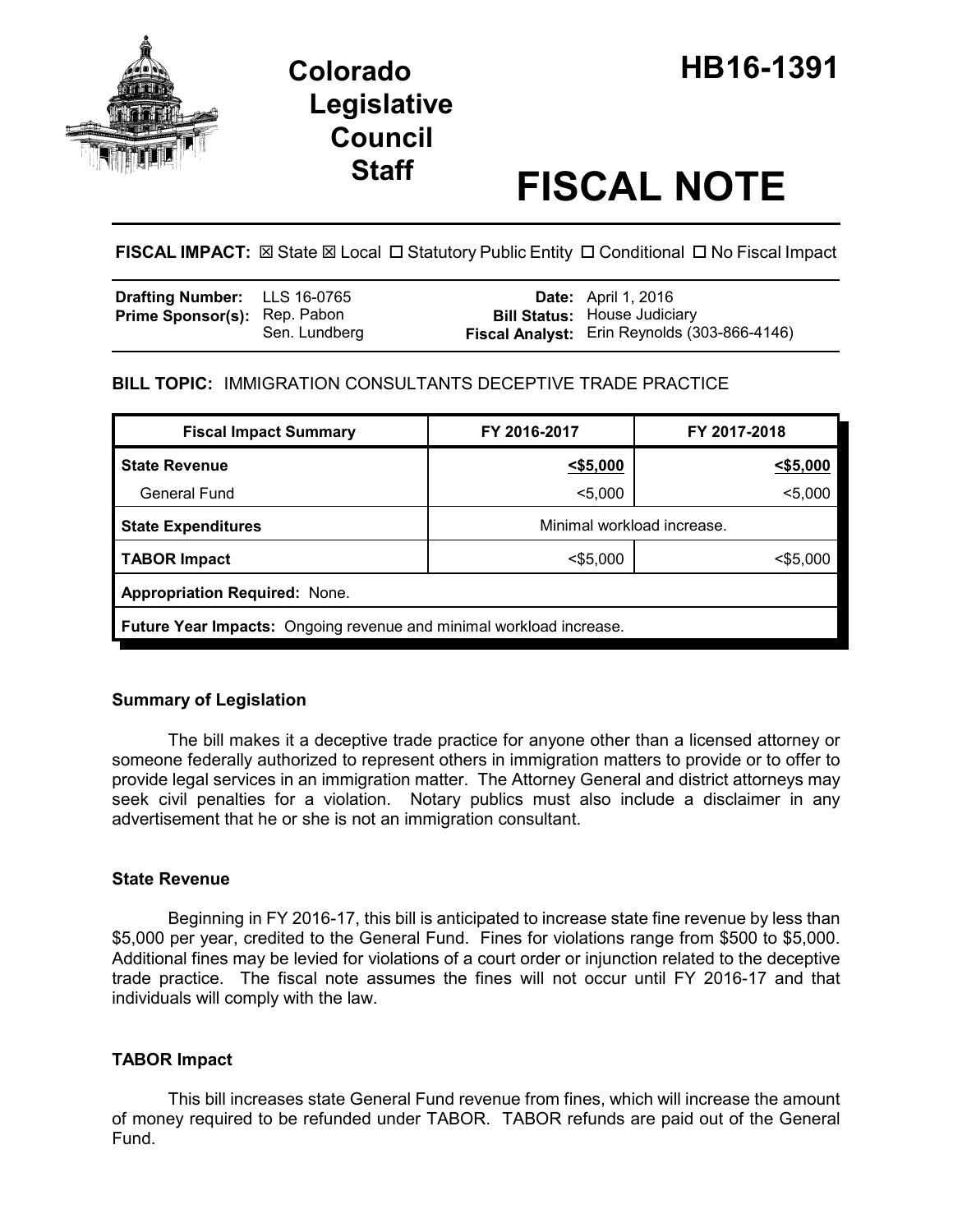

# **Legislative Council**

# **Staff FISCAL NOTE**

**FISCAL IMPACT:** ⊠ State ⊠ Local □ Statutory Public Entity □ Conditional □ No Fiscal Impact

| <b>Drafting Number:</b> LLS 16-0765 |               | <b>Date:</b> April 1, 2016                                                          |
|-------------------------------------|---------------|-------------------------------------------------------------------------------------|
| <b>Prime Sponsor(s): Rep. Pabon</b> | Sen. Lundberg | <b>Bill Status:</b> House Judiciary<br>Fiscal Analyst: Erin Reynolds (303-866-4146) |

# **BILL TOPIC:** IMMIGRATION CONSULTANTS DECEPTIVE TRADE PRACTICE

| <b>Fiscal Impact Summary</b>                                        | FY 2016-2017               | FY 2017-2018 |  |  |  |
|---------------------------------------------------------------------|----------------------------|--------------|--|--|--|
| <b>State Revenue</b>                                                | $<$ \$5,000                | $<$ \$5,000  |  |  |  |
| <b>General Fund</b>                                                 | $5,000$                    | $5,000$      |  |  |  |
| <b>State Expenditures</b>                                           | Minimal workload increase. |              |  |  |  |
| <b>TABOR Impact</b>                                                 | $<$ \$5,000                | $<$ \$5,000  |  |  |  |
| <b>Appropriation Required: None.</b>                                |                            |              |  |  |  |
| Future Year Impacts: Ongoing revenue and minimal workload increase. |                            |              |  |  |  |

# **Summary of Legislation**

The bill makes it a deceptive trade practice for anyone other than a licensed attorney or someone federally authorized to represent others in immigration matters to provide or to offer to provide legal services in an immigration matter. The Attorney General and district attorneys may seek civil penalties for a violation. Notary publics must also include a disclaimer in any advertisement that he or she is not an immigration consultant.

# **State Revenue**

Beginning in FY 2016-17, this bill is anticipated to increase state fine revenue by less than \$5,000 per year, credited to the General Fund. Fines for violations range from \$500 to \$5,000. Additional fines may be levied for violations of a court order or injunction related to the deceptive trade practice. The fiscal note assumes the fines will not occur until FY 2016-17 and that individuals will comply with the law.

# **TABOR Impact**

This bill increases state General Fund revenue from fines, which will increase the amount of money required to be refunded under TABOR. TABOR refunds are paid out of the General Fund.